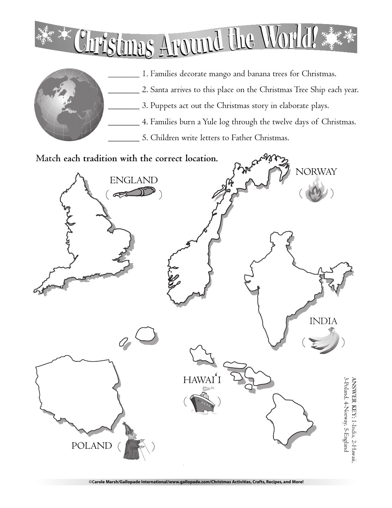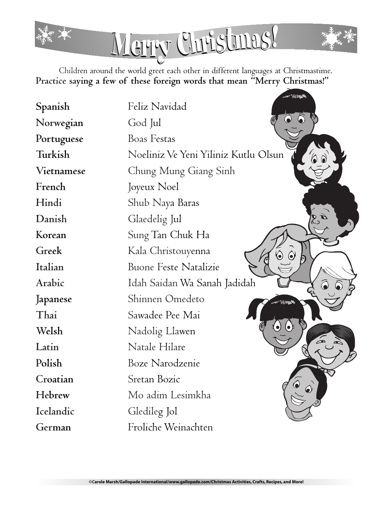

and all times

Children around the world greet each other in different languages at Christmastime. **Practice saying a few of these foreign words that mean "Merry Christmas!"**

| Spanish    | Feliz Navidad                        |
|------------|--------------------------------------|
| Norwegian  | God Jul                              |
| Portuguese | <b>Boas Festas</b>                   |
| Turkish    | Noeliniz Ve Yeni Yiliniz Kutlu Olsun |
| Vietnamese | Chung Mung Giang Sinh                |
| French     | Joyeux Noel                          |
| Hindi      | Shub Naya Baras                      |
| Danish     | Glaedelig Jul                        |
| Korean     | Sung Tan Chuk Ha                     |
| Greek      | Kala Christouyenna                   |
| Italian    | <b>Buone Feste Natalizie</b>         |
| Arabic     | Idah Saidan Wa Sanah Jadidah         |
| Japanese   | Shinnen Omedeto<br>Page 16           |
| Thai       | Sawadee Pee Mai                      |
| Welsh      | Nadolig Llawen                       |
| Latin      | Natale Hilare                        |
| Polish     | Boze Narodzenie                      |
| Croatian   | Sretan Bozic                         |
| Hebrew     | Mo adim Lesimkha                     |
| Icelandic  | Gledileg Jol                         |
| German     | Froliche Weinachten                  |